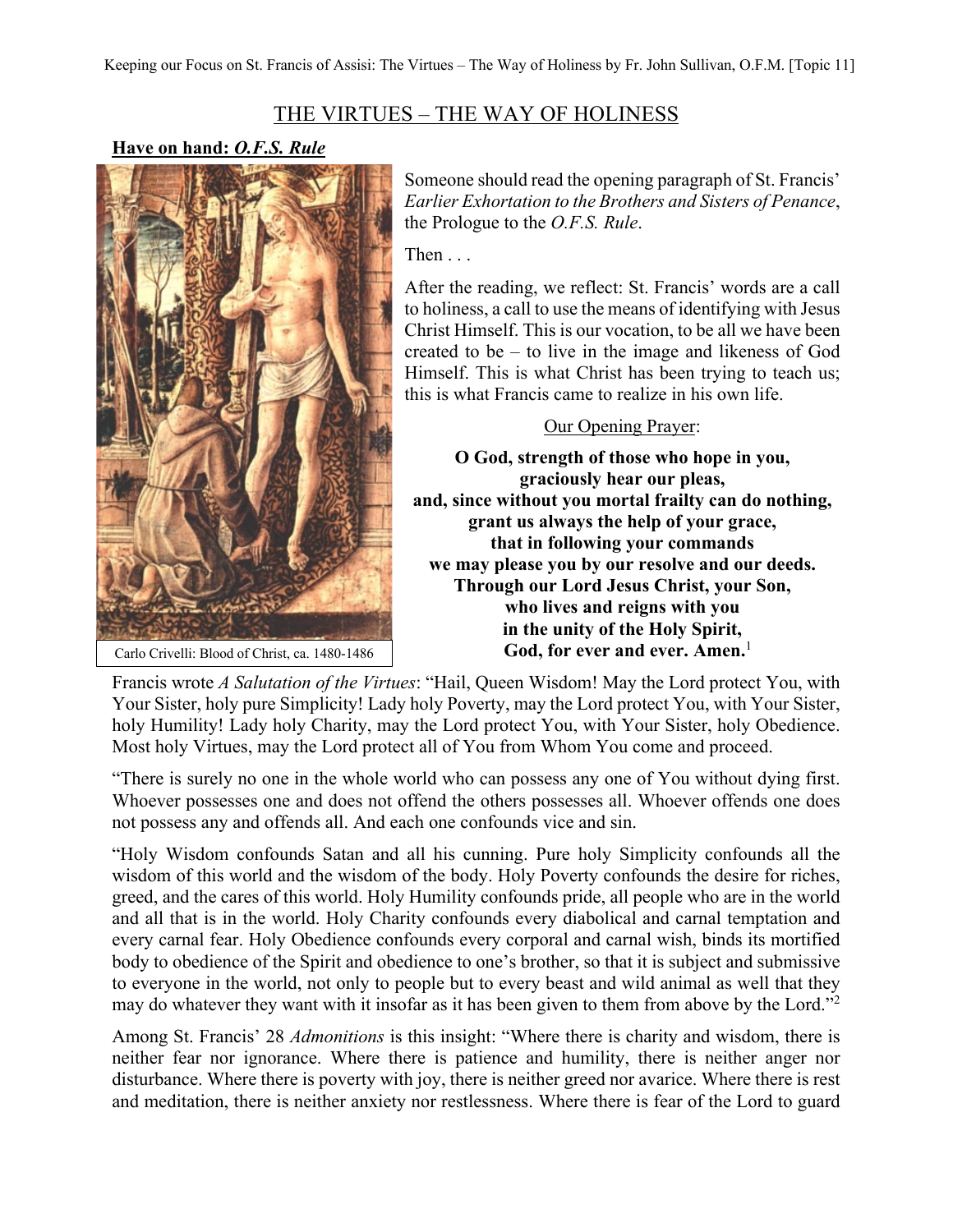## THE VIRTUES – THE WAY OF HOLINESS

## **Have on hand:** *O.F.S. Rule*



Carlo Crivelli: Blood of Christ, ca. 1480-1486

Someone should read the opening paragraph of St. Francis' *Earlier Exhortation to the Brothers and Sisters of Penance*, the Prologue to the *O.F.S. Rule*.

Then . . .

After the reading, we reflect: St. Francis' words are a call to holiness, a call to use the means of identifying with Jesus Christ Himself. This is our vocation, to be all we have been created to be – to live in the image and likeness of God Himself. This is what Christ has been trying to teach us; this is what Francis came to realize in his own life.

## Our Opening Prayer:

**O God, strength of those who hope in you, graciously hear our pleas, and, since without you mortal frailty can do nothing, grant us always the help of your grace, that in following your commands we may please you by our resolve and our deeds. Through our Lord Jesus Christ, your Son, who lives and reigns with you in the unity of the Holy Spirit, God, for ever and ever. Amen.** 1

Francis wrote *A Salutation of the Virtues*: "Hail, Queen Wisdom! May the Lord protect You, with Your Sister, holy pure Simplicity! Lady holy Poverty, may the Lord protect You, with Your Sister, holy Humility! Lady holy Charity, may the Lord protect You, with Your Sister, holy Obedience. Most holy Virtues, may the Lord protect all of You from Whom You come and proceed.

"There is surely no one in the whole world who can possess any one of You without dying first. Whoever possesses one and does not offend the others possesses all. Whoever offends one does not possess any and offends all. And each one confounds vice and sin.

"Holy Wisdom confounds Satan and all his cunning. Pure holy Simplicity confounds all the wisdom of this world and the wisdom of the body. Holy Poverty confounds the desire for riches, greed, and the cares of this world. Holy Humility confounds pride, all people who are in the world and all that is in the world. Holy Charity confounds every diabolical and carnal temptation and every carnal fear. Holy Obedience confounds every corporal and carnal wish, binds its mortified body to obedience of the Spirit and obedience to one's brother, so that it is subject and submissive to everyone in the world, not only to people but to every beast and wild animal as well that they may do whatever they want with it insofar as it has been given to them from above by the Lord."<sup>2</sup>

Among St. Francis' 28 *Admonitions* is this insight: "Where there is charity and wisdom, there is neither fear nor ignorance. Where there is patience and humility, there is neither anger nor disturbance. Where there is poverty with joy, there is neither greed nor avarice. Where there is rest and meditation, there is neither anxiety nor restlessness. Where there is fear of the Lord to guard